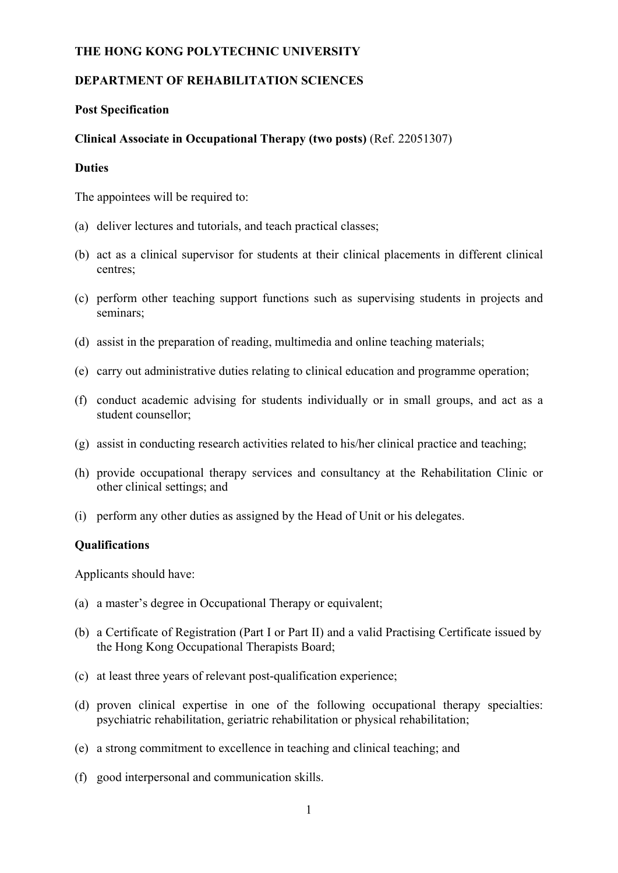### **THE HONG KONG POLYTECHNIC UNIVERSITY**

# **DEPARTMENT OF REHABILITATION SCIENCES**

### **Post Specification**

## **Clinical Associate in Occupational Therapy (two posts)** (Ref. 22051307)

#### **Duties**

The appointees will be required to:

- (a) deliver lectures and tutorials, and teach practical classes;
- (b) act as a clinical supervisor for students at their clinical placements in different clinical centres;
- (c) perform other teaching support functions such as supervising students in projects and seminars;
- (d) assist in the preparation of reading, multimedia and online teaching materials;
- (e) carry out administrative duties relating to clinical education and programme operation;
- (f) conduct academic advising for students individually or in small groups, and act as a student counsellor;
- (g) assist in conducting research activities related to his/her clinical practice and teaching;
- (h) provide occupational therapy services and consultancy at the Rehabilitation Clinic or other clinical settings; and
- (i) perform any other duties as assigned by the Head of Unit or his delegates.

### **Qualifications**

Applicants should have:

- (a) a master's degree in Occupational Therapy or equivalent;
- (b) a Certificate of Registration (Part I or Part II) and a valid Practising Certificate issued by the Hong Kong Occupational Therapists Board;
- (c) at least three years of relevant post-qualification experience;
- (d) proven clinical expertise in one of the following occupational therapy specialties: psychiatric rehabilitation, geriatric rehabilitation or physical rehabilitation;
- (e) a strong commitment to excellence in teaching and clinical teaching; and
- (f) good interpersonal and communication skills.